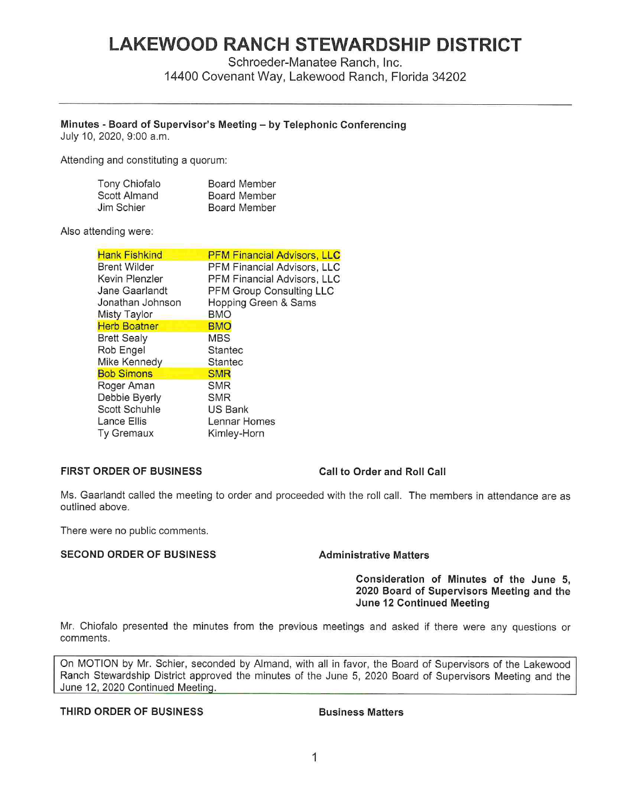# **LAKEWOOD RANCH STEWARDSHIP DISTRICT**

Schroeder-Manatee Ranch, Inc.

14400 Covenant Way, Lakewood Ranch, Florida 34202

# **Minutes** - **Board of Supervisor's Meeting** - **by Telephonic Conferencing**

July 10, 2020, 9:00 a.m.

Attending and constituting a quorum:

| Tony Chiofalo | <b>Board Member</b> |
|---------------|---------------------|
| Scott Almand  | <b>Board Member</b> |
| Jim Schier    | <b>Board Member</b> |

## Also attending were:

| <b>Hank Fishkind</b> | <b>PFM Financial Advisors, LLC</b> |
|----------------------|------------------------------------|
| Brent Wilder         | PFM Financial Advisors, LLC        |
| Kevin Plenzler       | PFM Financial Advisors, LLC        |
| Jane Gaarlandt       | PFM Group Consulting LLC           |
| Jonathan Johnson     | Hopping Green & Sams               |
| <b>Misty Taylor</b>  | <b>BMO</b>                         |
| <b>Herb Boatner</b>  | <b>BMO</b>                         |
| <b>Brett Sealy</b>   | <b>MBS</b>                         |
| Rob Engel            | Stantec                            |
| Mike Kennedy         | <b>Stantec</b>                     |
| <b>Bob Simons</b>    | <b>SMR</b>                         |
| Roger Aman           | SMR                                |
| Debbie Byerly        | <b>SMR</b>                         |
| Scott Schuhle        | US Bank                            |
| Lance Ellis          | Lennar Homes                       |
| <b>Ty Gremaux</b>    | Kimley-Horn                        |

# **FIRST ORDER OF BUSINESS Call to Order and Roll Call**

Ms. Gaarlandt called the meeting to order and proceeded with the roll call. The members in attendance are as outlined above.

There were no public comments.

## **SECOND ORDER OF BUSINESS 6 Administrative Matters**

## **Consideration of Minutes of the June 5, 2020 Board of Supervisors Meeting and the June 12 Continued Meeting**

Mr. Chiofalo presented the minutes from the previous meetings and asked if there were any questions or comments.

On MOTION by Mr. Schier, seconded by Almand, with all in favor, the Board of Supervisors of the Lakewood Ranch Stewardship District approved the minutes of the June 5, 2020 Board of Supervisors Meeting and the June 12, 2020 Continued Meetinq.

# **THIRD ORDER OF BUSINESS Business Matters**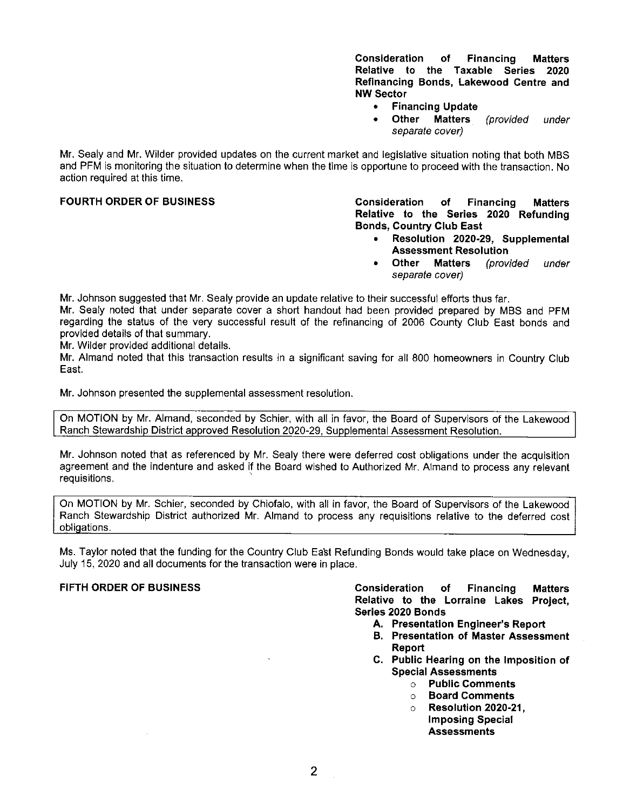**Consideration of Financing Matters Relative to the Taxable Series 2020 Refinancing Bonds, Lakewood Centre and NW Sector** 

- **Financing Update**
- **Other Matters** (provided under separate cover)

**Mr.** Sealy and Mr. Wilder provided updates on the current market and legislative situation noting that both MBS and PFM is monitoring the situation to determine when the time is opportune to proceed with the transaction. No action required at this time.

**FOURTH ORDER OF BUSINESS Consideration of Financing Matters Relative to the Series 2020 Refunding Bonds, Country Club East** 

- **Resolution 2020-29, Supplemental Assessment Resolution**
- **Other Matters** (provided under separate cover)

**Mr.** Johnson suggested that Mr. Sealy provide an update relative to their successful efforts thus far.

**Mr.** Sealy noted that under separate cover a short handout had been provided prepared by MBS and PFM regarding the status of the very successful result of the refinancing of 2006 County Club East bonds and provided details of that summary.

**Mr.** Wilder provided additional details.

**Mr.** Almand noted that this transaction results in a significant saving for all 800 homeowners in Country Club East.

**Mr.** Johnson presented the supplemental assessment resolution.

On MOTION by Mr. Almand, seconded by Schier, with all in favor, the Board of Supervisors of the Lakewood Ranch Stewardship District approved Resolution 2020-29, Supplemental Assessment Resolution.

Mr. Johnson noted that as referenced by Mr. Sealy there were deferred cost obligations under the acquisition agreement and the indenture and asked if the Board wished to Authorized Mr. Almand to process any relevant requisitions.

On MOTION by Mr. Schier, seconded by Chiofalo, with all in favor, the Board of Supervisors of the Lakewood Ranch Stewardship District authorized Mr. Almand to process any requisitions relative to the deferred cost obligations.

Ms. Taylor noted that the funding for the Country Club East Refunding Bonds would take place on Wednesday, July 15, 2020 and all documents for the transaction were in place.

**FIFTH ORDER OF BUSINESS Consideration of Financing Matters Relative to the Lorraine Lakes Project, Series 2020 Bonds** 

- **A. Presentation Engineer's Report**
- **B. Presentation of Master Assessment Report**
- **C. Public Hearing on the Imposition of Special Assessments** 
	- o **Public Comments**
	- o **Board Comments**
	- o **Resolution 2020-21, Imposing Special Assessments**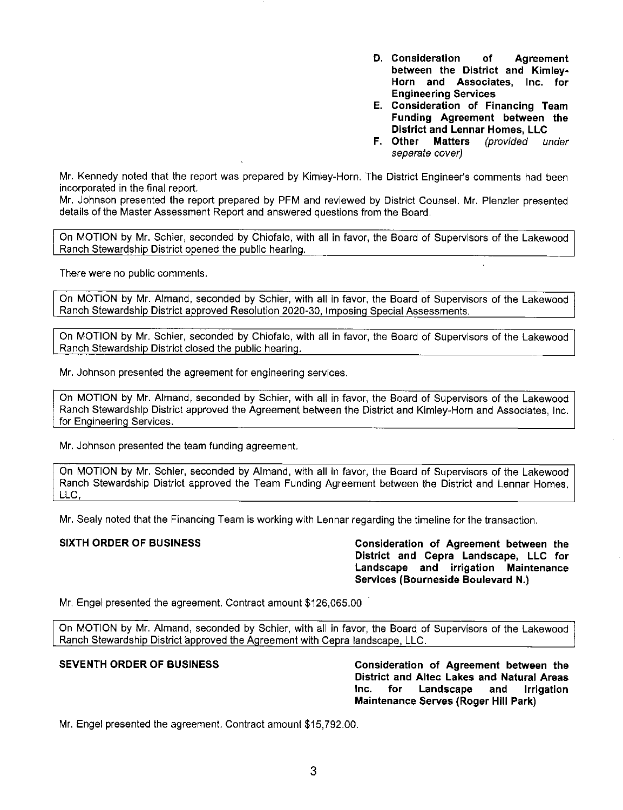- **D. Consideration of Agreement between the District and Kimley-Horn and Associates, Inc. for Engineering Services**
- E. **Consideration of Financing Team Funding Agreement between the District and Lennar Homes, LLC**
- **F. other Matters** (provided under separate cover)

Mr. Kennedy noted that the report was prepared by Kimley-Horn. The District Engineer's comments had been incorporated in the final report.

Mr. Johnson presented the report prepared by PFM and reviewed by District Counsel. Mr. Plenzler presented details of the Master Assessment Report and answered questions from the Board.

On MOTION by Mr. Schier, seconded by Chiofalo, with all in favor, the Board of Supervisors of the Lakewood Ranch Stewardship District opened the public hearing.

There were no public comments.

On MOTION by Mr. Almand, seconded by Schier, with all in favor, the Board of Supervisors of the Lakewood Ranch Stewardship District approved Resolution 2020-30, Imposing Special Assessments.

On MOTION by Mr. Schier, seconded by Chiofalo, with all in favor, the Board of Supervisors of the Lakewood Ranch Stewardship District closed the public hearing.

Mr. Johnson presented the agreement for engineering services.

On MOTION by Mr. Almand, seconded by Schier, with all in favor, the Board of Supervisors of the Lakewood Ranch Stewardship District approved the Agreement between the District and Kimley-Horn and Associates, Inc. for Engineering Services.

Mr. Johnson presented the team funding agreement.

On MOTION by Mr. Schier, seconded by Almand, with all in favor, the Board of Supervisors of the Lakewood Ranch Stewardship District approved the Team Funding Agreement between the District and Lennar Homes, LLC,

Mr. Sealy noted that the Financing Team is working with Lennar regarding the timeline for the transaction.

SIXTH ORDER OF BUSINESS **Consideration of Agreement between the District and Cepra Landscape, LLC for Landscape and irrigation Maintenance Services (Bourneside Boulevard N.)** 

Mr. Engel presented the agreement. Contract amount [\\$126,065.00](https://126,065.00) 

On MOTION by Mr. Almand, seconded by Schier, with all in favor, the Board of Supervisors of the Lakewood Ranch Stewardship District approved the Agreement with Cepra landscape, LLC.

**SEVENTH ORDER OF BUSINESS Consideration of Agreement between the District and Allee Lakes and Natural Areas Inc. for Landscape and Irrigation Maintenance Serves (Roger Hill Park)** 

Mr. Engel presented the agreement. Contract amount \$[15,792.00.](https://15,792.00)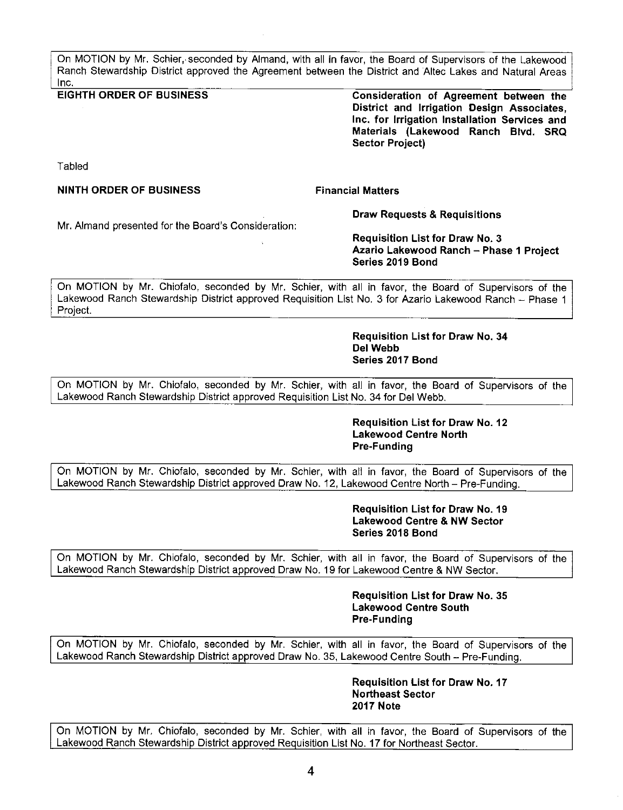On MOTION by Mr. Schier, seconded by Almand, with all in favor, the Board of Supervisors of the Lakewood Ranch Stewardship District approved the Agreement between the District and Allee Lakes and Natural Areas Inc.

**EIGHTH ORDER OF BUSINESS** 

**Consideration of Agreement between the District and Irrigation Design Associates, Inc. for Irrigation Installation Services and Materials (Lakewood Ranch Blvd. SRQ Sector Project)** 

Tabled

## **NINTH ORDER OF BUSINESS**

**Financial Matters** 

**Draw Requests & Requisitions** 

Mr. Almand presented for the Board's Consideration:

**Requisition List for Draw No. 3 Azario Lakewood Ranch - Phase 1 Project Series 2019 Bond** 

On MOTION by Mr. Chiofalo, seconded by Mr. Schier, with all in favor, the Board of Supervisors of the Lakewood Ranch Stewardship District approved Requisition List No. 3 for Azario Lakewood Ranch - Phase 1 Project.

> **Requisition List for Draw No. 34 Del Webb Series 2017 Bond**

On MOTION by Mr. Chiofalo, seconded by Mr. Schier, with all in favor, the Board of Supervisors of the Lakewood Ranch Stewardship District approved Requisition List No. 34 for Del Webb.

> **Requisition List for Draw No. 12 Lakewood Centre North Pre-Funding**

On MOTION by Mr. Chiofalo, seconded by Mr. Schier, with all in favor, the Board of Supervisors of the Lakewood Ranch Stewardship District approved Draw No. 12, Lakewood Centre North - Pre-Funding.

> **Requisition List for Draw No. 19 Lakewood Centre & NW Sector Series 2018 Bond**

On MOTION by Mr. Chiofalo, seconded by Mr. Schier, with all in favor, the Board of Supervisors of the Lakewood Ranch Stewardship District approved Draw No. 19 for Lakewood Centre & NW Sector.

> **Requisition List for Draw No. 35 Lakewood Centre South Pre-Funding**

On MOTION by Mr. Chiofalo, seconded by Mr. Schier, with all in favor, the Board of Supervisors of the Lakewood Ranch Stewardship District approved Draw No. 35, Lakewood Centre South - Pre-Funding.

> **Requisition List for Draw No. 17 Northeast Sector 2017 Note**

On MOTION by Mr. Chiofalo, seconded by Mr. Schier, with all in favor, the Board of Supervisors of the Lakewood Ranch Stewardship District approved Requisition List No. 17 for Northeast Sector.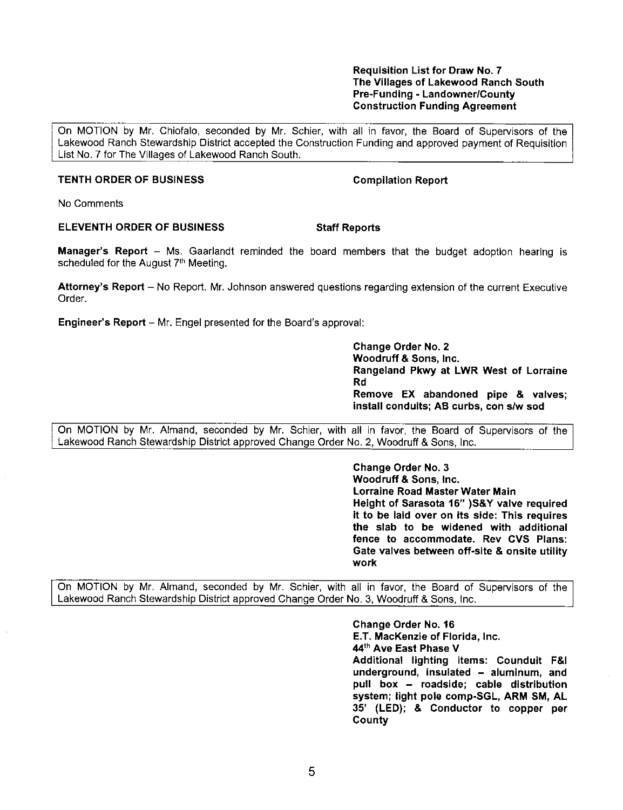## **Requisition List for Draw No. 7 The Villages of Lakewood Ranch South Pre-Funding** - **Landowner/County Construction Funding Agreement**

On MOTION by Mr. Chiofalo, seconded by Mr. Schier, with all in favor, the Board of Supervisors of the Lakewood Ranch Stewardship District accepted the Construction Funding and approved payment of Requisition List No. 7 for The Villages of Lakewood Ranch South.

# **TENTH ORDER OF BUSINESS** Compilation Report

No Comments

# **ELEVENTH ORDER OF BUSINESS Staff Reports**

**Manager's Report** – Ms. Gaarlandt reminded the board members that the budget adoption hearing is scheduled for the August 7<sup>th</sup> Meeting.

**Attorney's Report** - No Report. Mr. Johnson answered questions regarding extension of the current Executive Order.

**Engineer's Report** – Mr. Engel presented for the Board's approval:

**Change Order No. 2 Woodruff** & **Sons, Inc. Rangeland Pkwy at LWR West of Lorraine Rd Remove EX abandoned pipe** & **valves; install conduits; AB curbs, con s/w sod** 

On MOTION by Mr. Almand, seconded by Mr. Schier, with all in favor, the Board of Supervisors of the Lakewood Ranch Stewardship District approved Change Order No. 2, Woodruff & Sons, Inc.

> **Change Order No. 3 Woodruff** & **Sons, Inc. Lorraine Road Master Water Main Height of Sarasota 16" )S& Y valve required it to be laid over on its side: This requires the slab to be widened with additional fence to accommodate. Rev CVS Plans: Gate valves between off-site** & **onsite utility work**

On MOTION by Mr. Almand, seconded by Mr. Schier, with all in favor, the Board of Supervisors of the Lakewood Ranch Stewardship District approved Change Order No. 3, Woodruff & Sons, Inc.

> **Change Order No. 16 E.T. MacKenzie of Florida, Inc. 44th Ave East Phase V Additional lighting items: Counduit F&I underground, insulated** - **aluminum, and**  pull box - **roadside; cable distribution system; light pole comp-SGL, ARM SM, AL 35' (LED);** & **Conductor to copper per County**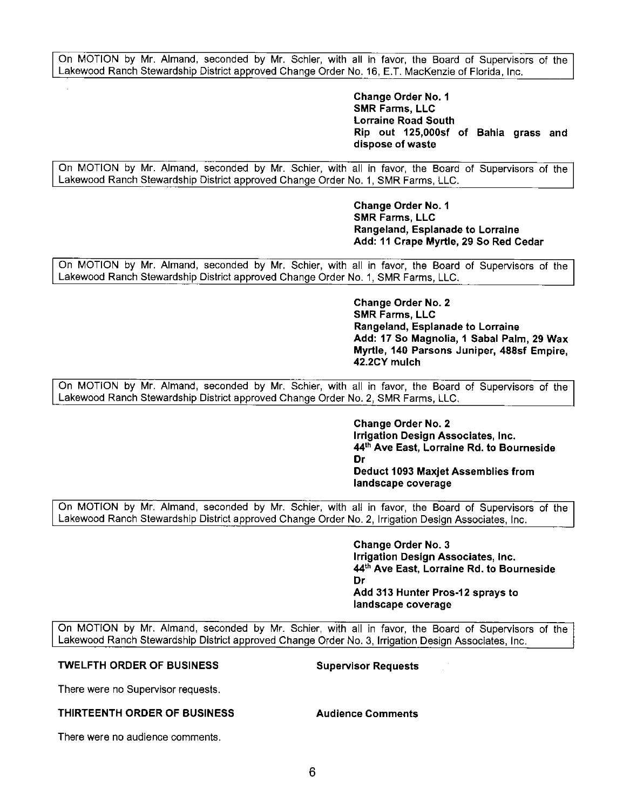On MOTION by Mr. Almand, seconded by Mr. Schier, with all in favor, the Board of Supervisors of the Lakewood Ranch Stewardship District approved Change Order No. 16, E.T. MacKenzie of Florida, Inc.

> **Change Order No. 1 SMR Farms, LLC Lorraine Road South Rip out 125,000sf of Bahia grass and dispose of waste**

On MOTION by Mr. Almand, seconded by Mr. Schier, with all in favor, the Board of Supervisors of the Lakewood Ranch Stewardship District approved Change Order No. 1, SMR Farms, LLC.

> **Change Order No. 1 SMR Farms, LLC Rangeland, Esplanade to Lorraine Add: 11 Crape Myrtle, 29 So Red Cedar**

On MOTION by Mr. Almand, seconded by Mr. Schier, with all in favor, the Board of Supervisors of the Lakewood Ranch Stewardship District approved Change Order No. 1, SMR Farms, LLC.

> **Change Order No. 2 SMR Farms, LLC Rangeland, Esplanade to Lorraine Add: 17 So Magnolia, 1 Sabal Palm, 29 Wax Myrtle, 140 Parsons Juniper, 488sf Empire, 42.2CY mulch**

On MOTION by Mr. Almand, seconded by Mr. Schier, with all in favor, the Board of Supervisors of the Lakewood Ranch Stewardship District approved Change Order No. 2, SMR Farms, LLC.

> **Change Order No. 2 Irrigation Design Associates, Inc. 44th Ave East, Lorraine Rd. to Bourneside Dr Deduct 1093 Maxjet Assemblies from landscape coverage**

On MOTION by Mr. Almand, seconded by Mr. Schier, with all in favor, the Board of Supervisors of the Lakewood Ranch Stewardship District approved Change Order No. 2, Irrigation Design Associates, Inc.

> **Change Order No. 3 Irrigation Design Associates, Inc. 44th Ave East, Lorraine Rd. to Bourneside Dr Add 313 Hunter Pros-12 sprays to landscape coverage**

On MOTION by Mr. Almand, seconded by Mr. Schier, with all in favor, the Board of Supervisors of the Lakewood Ranch Stewardship District approved Change Order No. 3, Irrigation Design Associates, Inc.

# **TWELFTH ORDER OF BUSINESS Supervisor Requests**

There were no Supervisor requests.

## **THIRTEENTH ORDER OF BUSINESS Audience Comments**

There were no audience comments.